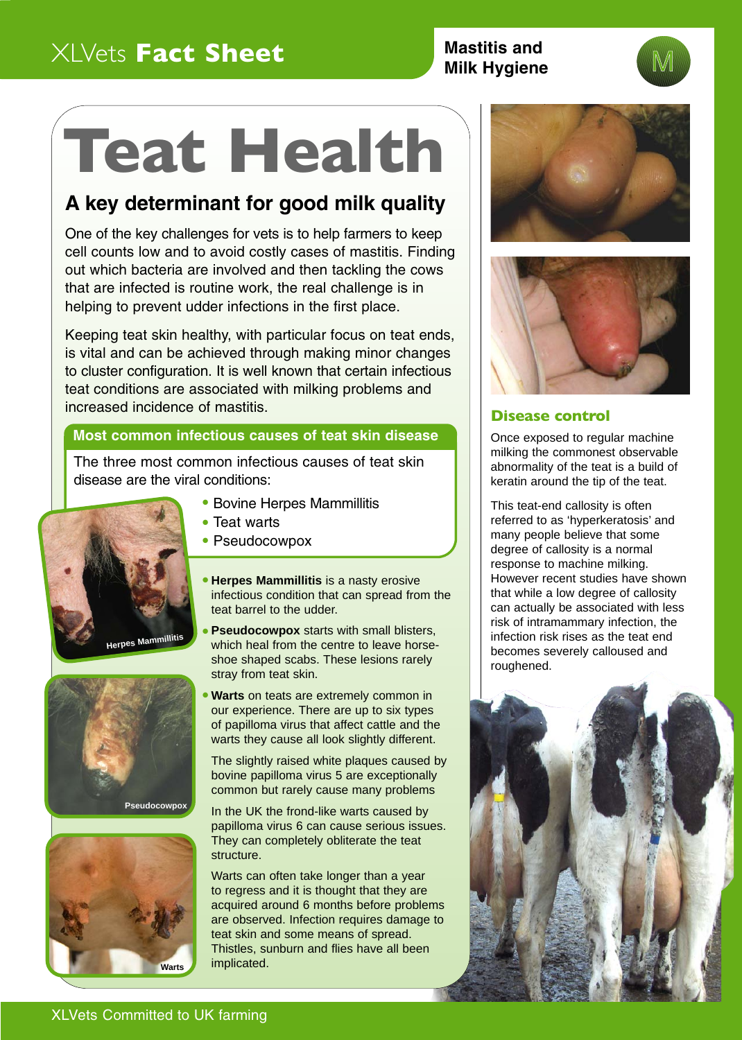## XLVets **Fact Sheet Mastitis and**

## **Milk Hygiene**

# **Teat Health**

## **A key determinant for good milk quality**

One of the key challenges for vets is to help farmers to keep cell counts low and to avoid costly cases of mastitis. Finding out which bacteria are involved and then tackling the cows that are infected is routine work, the real challenge is in helping to prevent udder infections in the first place.

Keeping teat skin healthy, with particular focus on teat ends, is vital and can be achieved through making minor changes to cluster configuration. It is well known that certain infectious teat conditions are associated with milking problems and increased incidence of mastitis.

### **Most common infectious causes of teat skin disease**

The three most common infectious causes of teat skin disease are the viral conditions:









- 
- Bovine Herpes Mammillitis
- Teat warts
- Pseudocowpox
- **Herpes Mammillitis** is a nasty erosive infectious condition that can spread from the teat barrel to the udder.
- **Pseudocowpox** starts with small blisters, which heal from the centre to leave horseshoe shaped scabs. These lesions rarely stray from teat skin.
- **Warts** on teats are extremely common in our experience. There are up to six types of papilloma virus that affect cattle and the warts they cause all look slightly different.

The slightly raised white plaques caused by bovine papilloma virus 5 are exceptionally common but rarely cause many problems

In the UK the frond-like warts caused by papilloma virus 6 can cause serious issues. They can completely obliterate the teat structure.

Warts can often take longer than a year to regress and it is thought that they are acquired around 6 months before problems are observed. Infection requires damage to teat skin and some means of spread. Thistles, sunburn and flies have all been implicated.





#### **Disease control**

Once exposed to regular machine milking the commonest observable abnormality of the teat is a build of keratin around the tip of the teat.

This teat-end callosity is often referred to as 'hyperkeratosis' and many people believe that some degree of callosity is a normal response to machine milking. However recent studies have shown that while a low degree of callosity can actually be associated with less risk of intramammary infection, the infection risk rises as the teat end becomes severely calloused and roughened.